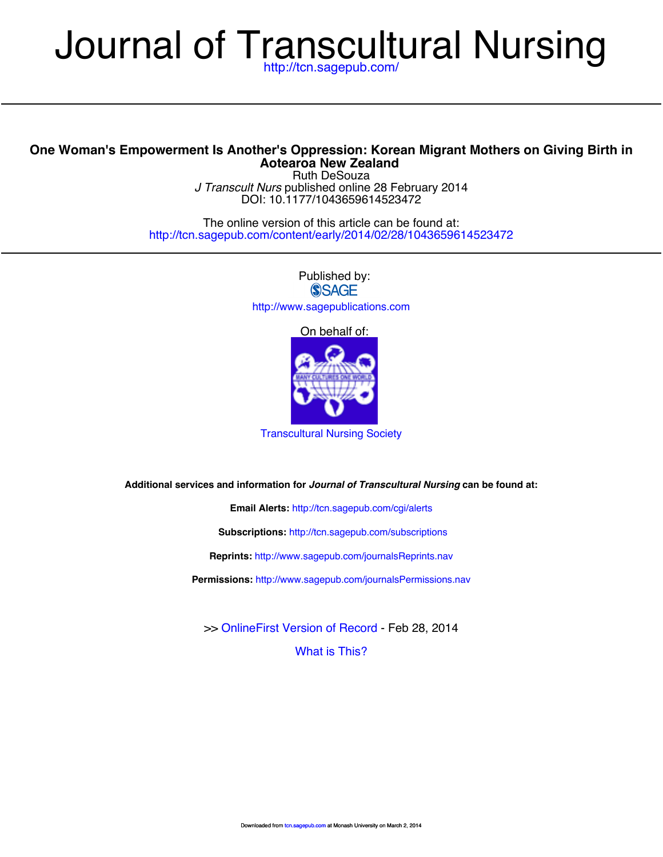# Journal of Transcultural Nursing

# **Aotearoa New Zealand One Woman's Empowerment Is Another's [Oppression: Korean Mig](http://tcn.sagepub.com/cgi/alerts)rant Mothers on Giving Birth in**

DOI: 10.[1177/1043659614523472](http://tcn.sagepub.com/subscriptions) *J Transcult Nurs* published online 28 February 2014 Ruth DeSouza

[http://tcn.sagepub.c](http://tcn.sagepub.com/content/early/2014/02/28/1043659614523472)[om/content/early/2014/02/28/1043659](http://www.sagepub.com/journalsReprints.nav)[614523472](http://tcn.sagepub.com/content/early/2014/02/28/1043659614523472) The online version of this article can be found at:

> [Published by:](http://www.sagepub.com/journalsPermissions.nav) **SSAGE** <http://www.sagepublications.com>

> > On behalf of:



[Transcultural Nursing Society](http://www.tcns.org)

**Additional services and information for** *Journal of Transcultural Nursing* **can be found at:**

**Email Alerts:** <http://tcn.sagepub.com/cgi/alerts>

**Subscriptions:** <http://tcn.sagepub.com/subscriptions>

**Reprints:** <http://www.sagepub.com/journalsReprints.nav>

**Permissions:** <http://www.sagepub.com/journalsPermissions.nav>

>> [OnlineFirst Version of Record -](http://tcn.sagepub.com/content/early/2014/02/28/1043659614523472.full.pdf) Feb 28, 2014

[What is This?](http://online.sagepub.com/site/sphelp/vorhelp.xhtml)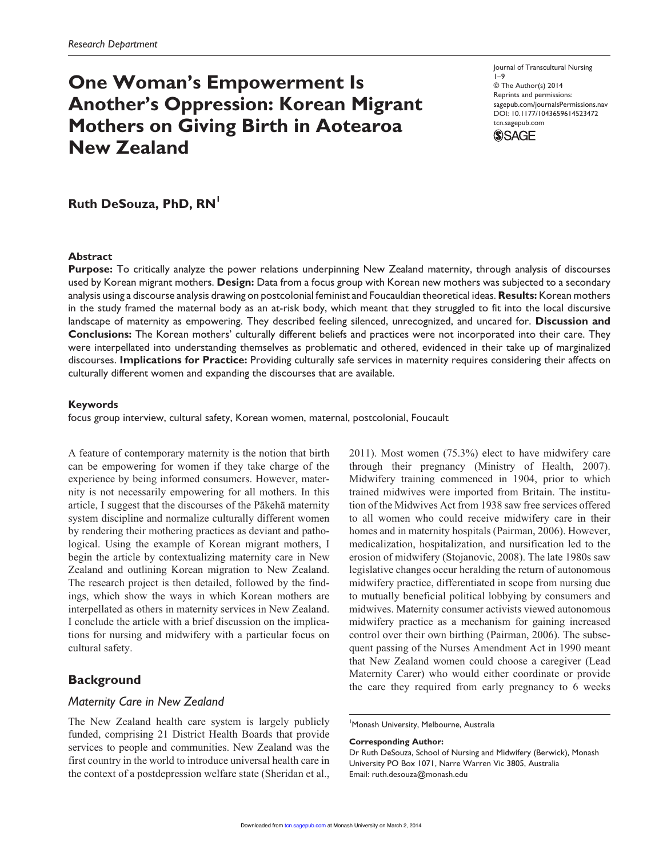# **One Woman's Empowerment Is Another's Oppression: Korean Migrant Mothers on Giving Birth in Aotearoa New Zealand**

Journal of Transcultural Nursing 1–9 © The Author(s) 2014 Reprints and permissions: sagepub.com/journalsPermissions.nav DOI: 10.1177/1043659614523472 tcn.sagepub.com



**Ruth DeSouza, PhD, RN<sup>1</sup>** 

# **Abstract**

**Purpose:** To critically analyze the power relations underpinning New Zealand maternity, through analysis of discourses used by Korean migrant mothers. **Design:** Data from a focus group with Korean new mothers was subjected to a secondary analysis using a discourse analysis drawing on postcolonial feminist and Foucauldian theoretical ideas. **Results:** Korean mothers in the study framed the maternal body as an at-risk body, which meant that they struggled to fit into the local discursive landscape of maternity as empowering. They described feeling silenced, unrecognized, and uncared for. **Discussion and Conclusions:** The Korean mothers' culturally different beliefs and practices were not incorporated into their care. They were interpellated into understanding themselves as problematic and othered, evidenced in their take up of marginalized discourses. **Implications for Practice:** Providing culturally safe services in maternity requires considering their affects on culturally different women and expanding the discourses that are available.

#### **Keywords**

focus group interview, cultural safety, Korean women, maternal, postcolonial, Foucault

A feature of contemporary maternity is the notion that birth can be empowering for women if they take charge of the experience by being informed consumers. However, maternity is not necessarily empowering for all mothers. In this article, I suggest that the discourses of the Pākehā maternity system discipline and normalize culturally different women by rendering their mothering practices as deviant and pathological. Using the example of Korean migrant mothers, I begin the article by contextualizing maternity care in New Zealand and outlining Korean migration to New Zealand. The research project is then detailed, followed by the findings, which show the ways in which Korean mothers are interpellated as others in maternity services in New Zealand. I conclude the article with a brief discussion on the implications for nursing and midwifery with a particular focus on cultural safety.

# **Background**

# *Maternity Care in New Zealand*

The New Zealand health care system is largely publicly funded, comprising 21 District Health Boards that provide services to people and communities. New Zealand was the first country in the world to introduce universal health care in the context of a postdepression welfare state (Sheridan et al.,

2011). Most women (75.3%) elect to have midwifery care through their pregnancy (Ministry of Health, 2007). Midwifery training commenced in 1904, prior to which trained midwives were imported from Britain. The institution of the Midwives Act from 1938 saw free services offered to all women who could receive midwifery care in their homes and in maternity hospitals (Pairman, 2006). However, medicalization, hospitalization, and nursification led to the erosion of midwifery (Stojanovic, 2008). The late 1980s saw legislative changes occur heralding the return of autonomous midwifery practice, differentiated in scope from nursing due to mutually beneficial political lobbying by consumers and midwives. Maternity consumer activists viewed autonomous midwifery practice as a mechanism for gaining increased control over their own birthing (Pairman, 2006). The subsequent passing of the Nurses Amendment Act in 1990 meant that New Zealand women could choose a caregiver (Lead Maternity Carer) who would either coordinate or provide the care they required from early pregnancy to 6 weeks

1 Monash University, Melbourne, Australia

#### **Corresponding Author:**

Dr Ruth DeSouza, School of Nursing and Midwifery (Berwick), Monash University PO Box 1071, Narre Warren Vic 3805, Australia Email: ruth.desouza@monash.edu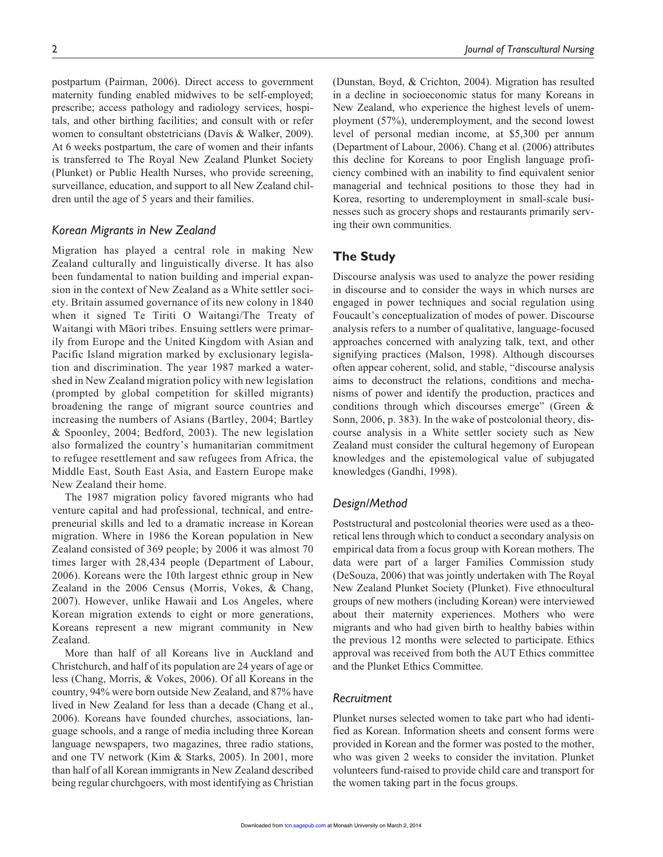postpartum (Pairman, 2006). Direct access to government maternity funding enabled midwives to be self-employed; prescribe; access pathology and radiology services, hospitals, and other birthing facilities; and consult with or refer women to consultant obstetricians (Davis & Walker, 2009). At 6 weeks postpartum, the care of women and their infants is transferred to The Royal New Zealand Plunket Society (Plunket) or Public Health Nurses, who provide screening, surveillance, education, and support to all New Zealand children until the age of 5 years and their families.

# *Korean Migrants in New Zealand*

Migration has played a central role in making New Zealand culturally and linguistically diverse. It has also been fundamental to nation building and imperial expansion in the context of New Zealand as a White settler society. Britain assumed governance of its new colony in 1840 when it signed Te Tiriti O Waitangi/The Treaty of Waitangi with Māori tribes. Ensuing settlers were primarily from Europe and the United Kingdom with Asian and Pacific Island migration marked by exclusionary legislation and discrimination. The year 1987 marked a watershed in New Zealand migration policy with new legislation (prompted by global competition for skilled migrants) broadening the range of migrant source countries and increasing the numbers of Asians (Bartley, 2004; Bartley & Spoonley, 2004; Bedford, 2003). The new legislation also formalized the country's humanitarian commitment to refugee resettlement and saw refugees from Africa, the Middle East, South East Asia, and Eastern Europe make New Zealand their home.

The 1987 migration policy favored migrants who had venture capital and had professional, technical, and entrepreneurial skills and led to a dramatic increase in Korean migration. Where in 1986 the Korean population in New Zealand consisted of 369 people; by 2006 it was almost 70 times larger with 28,434 people (Department of Labour, 2006). Koreans were the 10th largest ethnic group in New Zealand in the 2006 Census (Morris, Vokes, & Chang, 2007). However, unlike Hawaii and Los Angeles, where Korean migration extends to eight or more generations, Koreans represent a new migrant community in New Zealand.

More than half of all Koreans live in Auckland and Christchurch, and half of its population are 24 years of age or less (Chang, Morris, & Vokes, 2006). Of all Koreans in the country, 94% were born outside New Zealand, and 87% have lived in New Zealand for less than a decade (Chang et al., 2006). Koreans have founded churches, associations, language schools, and a range of media including three Korean language newspapers, two magazines, three radio stations, and one TV network (Kim & Starks, 2005). In 2001, more than half of all Korean immigrants in New Zealand described being regular churchgoers, with most identifying as Christian

(Dunstan, Boyd, & Crichton, 2004). Migration has resulted in a decline in socioeconomic status for many Koreans in New Zealand, who experience the highest levels of unemployment (57%), underemployment, and the second lowest level of personal median income, at \$5,300 per annum (Department of Labour, 2006). Chang et al. (2006) attributes this decline for Koreans to poor English language proficiency combined with an inability to find equivalent senior managerial and technical positions to those they had in Korea, resorting to underemployment in small-scale businesses such as grocery shops and restaurants primarily serving their own communities.

# **The Study**

Discourse analysis was used to analyze the power residing in discourse and to consider the ways in which nurses are engaged in power techniques and social regulation using Foucault's conceptualization of modes of power. Discourse analysis refers to a number of qualitative, language-focused approaches concerned with analyzing talk, text, and other signifying practices (Malson, 1998). Although discourses often appear coherent, solid, and stable, "discourse analysis aims to deconstruct the relations, conditions and mechanisms of power and identify the production, practices and conditions through which discourses emerge" (Green & Sonn, 2006, p. 383). In the wake of postcolonial theory, discourse analysis in a White settler society such as New Zealand must consider the cultural hegemony of European knowledges and the epistemological value of subjugated knowledges (Gandhi, 1998).

# *Design/Method*

Poststructural and postcolonial theories were used as a theoretical lens through which to conduct a secondary analysis on empirical data from a focus group with Korean mothers. The data were part of a larger Families Commission study (DeSouza, 2006) that was jointly undertaken with The Royal New Zealand Plunket Society (Plunket). Five ethnocultural groups of new mothers (including Korean) were interviewed about their maternity experiences. Mothers who were migrants and who had given birth to healthy babies within the previous 12 months were selected to participate. Ethics approval was received from both the AUT Ethics committee and the Plunket Ethics Committee.

## *Recruitment*

Plunket nurses selected women to take part who had identified as Korean. Information sheets and consent forms were provided in Korean and the former was posted to the mother, who was given 2 weeks to consider the invitation. Plunket volunteers fund-raised to provide child care and transport for the w[omen taking](http://tcn.sagepub.com/) part in the focus groups.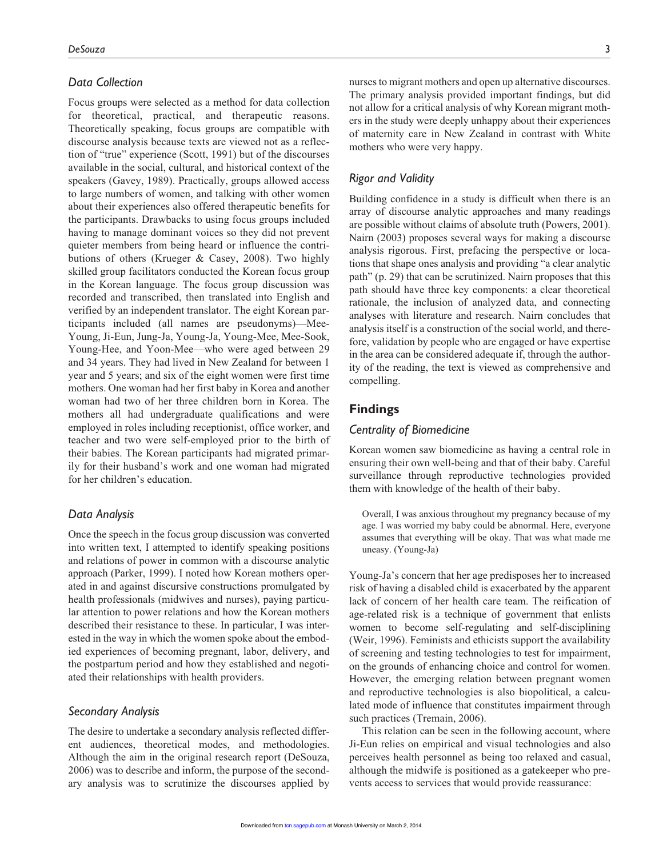# *Data Collection*

Focus groups were selected as a method for data collection for theoretical, practical, and therapeutic reasons. Theoretically speaking, focus groups are compatible with discourse analysis because texts are viewed not as a reflection of "true" experience (Scott, 1991) but of the discourses available in the social, cultural, and historical context of the speakers (Gavey, 1989). Practically, groups allowed access to large numbers of women, and talking with other women about their experiences also offered therapeutic benefits for the participants. Drawbacks to using focus groups included having to manage dominant voices so they did not prevent quieter members from being heard or influence the contributions of others (Krueger & Casey, 2008). Two highly skilled group facilitators conducted the Korean focus group in the Korean language. The focus group discussion was recorded and transcribed, then translated into English and verified by an independent translator. The eight Korean participants included (all names are pseudonyms)—Mee-Young, Ji-Eun, Jung-Ja, Young-Ja, Young-Mee, Mee-Sook, Young-Hee, and Yoon-Mee—who were aged between 29 and 34 years. They had lived in New Zealand for between 1 year and 5 years; and six of the eight women were first time mothers. One woman had her first baby in Korea and another woman had two of her three children born in Korea. The mothers all had undergraduate qualifications and were employed in roles including receptionist, office worker, and teacher and two were self-employed prior to the birth of their babies. The Korean participants had migrated primarily for their husband's work and one woman had migrated for her children's education.

# *Data Analysis*

Once the speech in the focus group discussion was converted into written text, I attempted to identify speaking positions and relations of power in common with a discourse analytic approach (Parker, 1999). I noted how Korean mothers operated in and against discursive constructions promulgated by health professionals (midwives and nurses), paying particular attention to power relations and how the Korean mothers described their resistance to these. In particular, I was interested in the way in which the women spoke about the embodied experiences of becoming pregnant, labor, delivery, and the postpartum period and how they established and negotiated their relationships with health providers.

# *Secondary Analysis*

The desire to undertake a secondary analysis reflected different audiences, theoretical modes, and methodologies. Although the aim in the original research report (DeSouza, 2006) was to describe and inform, the purpose of the secondary analysis was to scrutinize the discourses applied by

# *Rigor and Validity*

mothers who were very happy.

Building confidence in a study is difficult when there is an array of discourse analytic approaches and many readings are possible without claims of absolute truth (Powers, 2001). Nairn (2003) proposes several ways for making a discourse analysis rigorous. First, prefacing the perspective or locations that shape ones analysis and providing "a clear analytic path" (p. 29) that can be scrutinized. Nairn proposes that this path should have three key components: a clear theoretical rationale, the inclusion of analyzed data, and connecting analyses with literature and research. Nairn concludes that analysis itself is a construction of the social world, and therefore, validation by people who are engaged or have expertise in the area can be considered adequate if, through the authority of the reading, the text is viewed as comprehensive and compelling.

of maternity care in New Zealand in contrast with White

# **Findings**

# *Centrality of Biomedicine*

Korean women saw biomedicine as having a central role in ensuring their own well-being and that of their baby. Careful surveillance through reproductive technologies provided them with knowledge of the health of their baby.

Overall, I was anxious throughout my pregnancy because of my age. I was worried my baby could be abnormal. Here, everyone assumes that everything will be okay. That was what made me uneasy. (Young-Ja)

Young-Ja's concern that her age predisposes her to increased risk of having a disabled child is exacerbated by the apparent lack of concern of her health care team. The reification of age-related risk is a technique of government that enlists women to become self-regulating and self-disciplining (Weir, 1996). Feminists and ethicists support the availability of screening and testing technologies to test for impairment, on the grounds of enhancing choice and control for women. However, the emerging relation between pregnant women and reproductive technologies is also biopolitical, a calculated mode of influence that constitutes impairment through such practices (Tremain, 2006).

This relation can be seen in the following account, where Ji-Eun relies on empirical and visual technologies and also perceives health personnel as being too relaxed and casual, although the midwife is positioned as a gatekeeper who preve[nts access t](http://tcn.sagepub.com/)o services that would provide reassurance: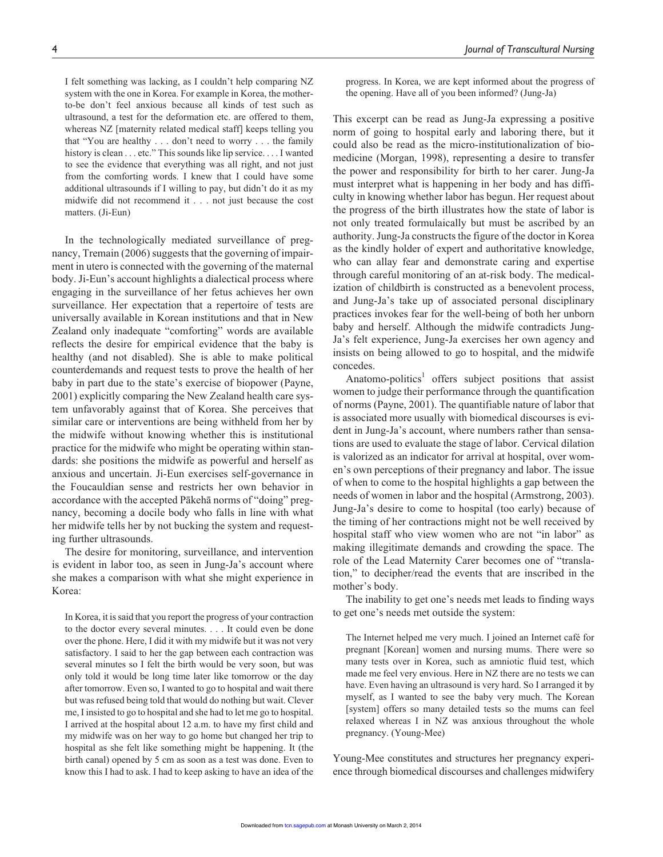I felt something was lacking, as I couldn't help comparing NZ system with the one in Korea. For example in Korea, the motherto-be don't feel anxious because all kinds of test such as ultrasound, a test for the deformation etc. are offered to them, whereas NZ [maternity related medical staff] keeps telling you that "You are healthy . . . don't need to worry . . . the family history is clean . . . etc." This sounds like lip service. . . . I wanted to see the evidence that everything was all right, and not just from the comforting words. I knew that I could have some additional ultrasounds if I willing to pay, but didn't do it as my midwife did not recommend it . . . not just because the cost matters. (Ji-Eun)

In the technologically mediated surveillance of pregnancy, Tremain (2006) suggests that the governing of impairment in utero is connected with the governing of the maternal body. Ji-Eun's account highlights a dialectical process where engaging in the surveillance of her fetus achieves her own surveillance. Her expectation that a repertoire of tests are universally available in Korean institutions and that in New Zealand only inadequate "comforting" words are available reflects the desire for empirical evidence that the baby is healthy (and not disabled). She is able to make political counterdemands and request tests to prove the health of her baby in part due to the state's exercise of biopower (Payne, 2001) explicitly comparing the New Zealand health care system unfavorably against that of Korea. She perceives that similar care or interventions are being withheld from her by the midwife without knowing whether this is institutional practice for the midwife who might be operating within standards: she positions the midwife as powerful and herself as anxious and uncertain. Ji-Eun exercises self-governance in the Foucauldian sense and restricts her own behavior in accordance with the accepted Pākehā norms of "doing" pregnancy, becoming a docile body who falls in line with what her midwife tells her by not bucking the system and requesting further ultrasounds.

The desire for monitoring, surveillance, and intervention is evident in labor too, as seen in Jung-Ja's account where she makes a comparison with what she might experience in Korea:

In Korea, it is said that you report the progress of your contraction to the doctor every several minutes. . . . It could even be done over the phone. Here, I did it with my midwife but it was not very satisfactory. I said to her the gap between each contraction was several minutes so I felt the birth would be very soon, but was only told it would be long time later like tomorrow or the day after tomorrow. Even so, I wanted to go to hospital and wait there but was refused being told that would do nothing but wait. Clever me, I insisted to go to hospital and she had to let me go to hospital. I arrived at the hospital about 12 a.m. to have my first child and my midwife was on her way to go home but changed her trip to hospital as she felt like something might be happening. It (the birth canal) opened by 5 cm as soon as a test was done. Even to know this I had to ask. I had to keep asking to have an idea of the

progress. In Korea, we are kept informed about the progress of the opening. Have all of you been informed? (Jung-Ja)

This excerpt can be read as Jung-Ja expressing a positive norm of going to hospital early and laboring there, but it could also be read as the micro-institutionalization of biomedicine (Morgan, 1998), representing a desire to transfer the power and responsibility for birth to her carer. Jung-Ja must interpret what is happening in her body and has difficulty in knowing whether labor has begun. Her request about the progress of the birth illustrates how the state of labor is not only treated formulaically but must be ascribed by an authority. Jung-Ja constructs the figure of the doctor in Korea as the kindly holder of expert and authoritative knowledge, who can allay fear and demonstrate caring and expertise through careful monitoring of an at-risk body. The medicalization of childbirth is constructed as a benevolent process, and Jung-Ja's take up of associated personal disciplinary practices invokes fear for the well-being of both her unborn baby and herself. Although the midwife contradicts Jung-Ja's felt experience, Jung-Ja exercises her own agency and insists on being allowed to go to hospital, and the midwife concedes.

Anatomo-politics<sup>1</sup> offers subject positions that assist women to judge their performance through the quantification of norms (Payne, 2001). The quantifiable nature of labor that is associated more usually with biomedical discourses is evident in Jung-Ja's account, where numbers rather than sensations are used to evaluate the stage of labor. Cervical dilation is valorized as an indicator for arrival at hospital, over women's own perceptions of their pregnancy and labor. The issue of when to come to the hospital highlights a gap between the needs of women in labor and the hospital (Armstrong, 2003). Jung-Ja's desire to come to hospital (too early) because of the timing of her contractions might not be well received by hospital staff who view women who are not "in labor" as making illegitimate demands and crowding the space. The role of the Lead Maternity Carer becomes one of "translation," to decipher/read the events that are inscribed in the mother's body.

The inability to get one's needs met leads to finding ways to get one's needs met outside the system:

The Internet helped me very much. I joined an Internet café for pregnant [Korean] women and nursing mums. There were so many tests over in Korea, such as amniotic fluid test, which made me feel very envious. Here in NZ there are no tests we can have. Even having an ultrasound is very hard. So I arranged it by myself, as I wanted to see the baby very much. The Korean [system] offers so many detailed tests so the mums can feel relaxed whereas I in NZ was anxious throughout the whole pregnancy. (Young-Mee)

Young-Mee constitutes and structures her pregnancy experience through biomedical discourses and challenges midwifery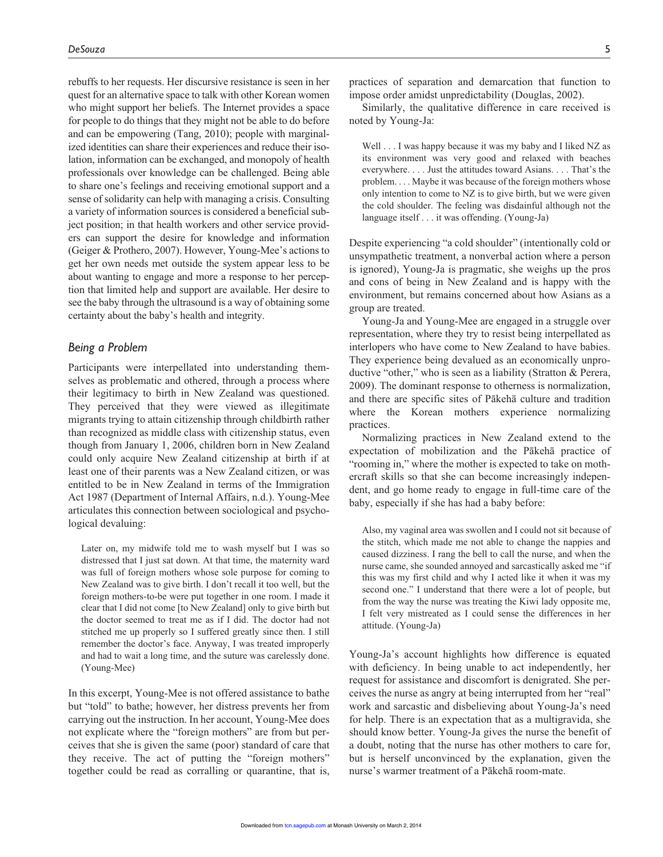rebuffs to her requests. Her discursive resistance is seen in her quest for an alternative space to talk with other Korean women who might support her beliefs. The Internet provides a space for people to do things that they might not be able to do before and can be empowering (Tang, 2010); people with marginalized identities can share their experiences and reduce their isolation, information can be exchanged, and monopoly of health professionals over knowledge can be challenged. Being able to share one's feelings and receiving emotional support and a sense of solidarity can help with managing a crisis. Consulting a variety of information sources is considered a beneficial subject position; in that health workers and other service providers can support the desire for knowledge and information (Geiger & Prothero, 2007). However, Young-Mee's actions to get her own needs met outside the system appear less to be about wanting to engage and more a response to her perception that limited help and support are available. Her desire to see the baby through the ultrasound is a way of obtaining some certainty about the baby's health and integrity.

#### *Being a Problem*

Participants were interpellated into understanding themselves as problematic and othered, through a process where their legitimacy to birth in New Zealand was questioned. They perceived that they were viewed as illegitimate migrants trying to attain citizenship through childbirth rather than recognized as middle class with citizenship status, even though from January 1, 2006, children born in New Zealand could only acquire New Zealand citizenship at birth if at least one of their parents was a New Zealand citizen, or was entitled to be in New Zealand in terms of the Immigration Act 1987 (Department of Internal Affairs, n.d.). Young-Mee articulates this connection between sociological and psychological devaluing:

Later on, my midwife told me to wash myself but I was so distressed that I just sat down. At that time, the maternity ward was full of foreign mothers whose sole purpose for coming to New Zealand was to give birth. I don't recall it too well, but the foreign mothers-to-be were put together in one room. I made it clear that I did not come [to New Zealand] only to give birth but the doctor seemed to treat me as if I did. The doctor had not stitched me up properly so I suffered greatly since then. I still remember the doctor's face. Anyway, I was treated improperly and had to wait a long time, and the suture was carelessly done. (Young-Mee)

In this excerpt, Young-Mee is not offered assistance to bathe but "told" to bathe; however, her distress prevents her from carrying out the instruction. In her account, Young-Mee does not explicate where the "foreign mothers" are from but perceives that she is given the same (poor) standard of care that they receive. The act of putting the "foreign mothers" together could be read as corralling or quarantine, that is, practices of separation and demarcation that function to impose order amidst unpredictability (Douglas, 2002).

Similarly, the qualitative difference in care received is noted by Young-Ja:

Well . . . I was happy because it was my baby and I liked NZ as its environment was very good and relaxed with beaches everywhere. . . . Just the attitudes toward Asians. . . . That's the problem. . . . Maybe it was because of the foreign mothers whose only intention to come to NZ is to give birth, but we were given the cold shoulder. The feeling was disdainful although not the language itself . . . it was offending. (Young-Ja)

Despite experiencing "a cold shoulder" (intentionally cold or unsympathetic treatment, a nonverbal action where a person is ignored), Young-Ja is pragmatic, she weighs up the pros and cons of being in New Zealand and is happy with the environment, but remains concerned about how Asians as a group are treated.

Young-Ja and Young-Mee are engaged in a struggle over representation, where they try to resist being interpellated as interlopers who have come to New Zealand to have babies. They experience being devalued as an economically unproductive "other," who is seen as a liability (Stratton & Perera, 2009). The dominant response to otherness is normalization, and there are specific sites of Pākehā culture and tradition where the Korean mothers experience normalizing practices.

Normalizing practices in New Zealand extend to the expectation of mobilization and the Pākehā practice of "rooming in," where the mother is expected to take on mothercraft skills so that she can become increasingly independent, and go home ready to engage in full-time care of the baby, especially if she has had a baby before:

Also, my vaginal area was swollen and I could not sit because of the stitch, which made me not able to change the nappies and caused dizziness. I rang the bell to call the nurse, and when the nurse came, she sounded annoyed and sarcastically asked me "if this was my first child and why I acted like it when it was my second one." I understand that there were a lot of people, but from the way the nurse was treating the Kiwi lady opposite me, I felt very mistreated as I could sense the differences in her attitude. (Young-Ja)

Young-Ja's account highlights how difference is equated with deficiency. In being unable to act independently, her request for assistance and discomfort is denigrated. She perceives the nurse as angry at being interrupted from her "real" work and sarcastic and disbelieving about Young-Ja's need for help. There is an expectation that as a multigravida, she should know better. Young-Ja gives the nurse the benefit of a doubt, noting that the nurse has other mothers to care for, but is herself unconvinced by the explanation, given the nurse's warmer treatment of a Pākehā room-mate.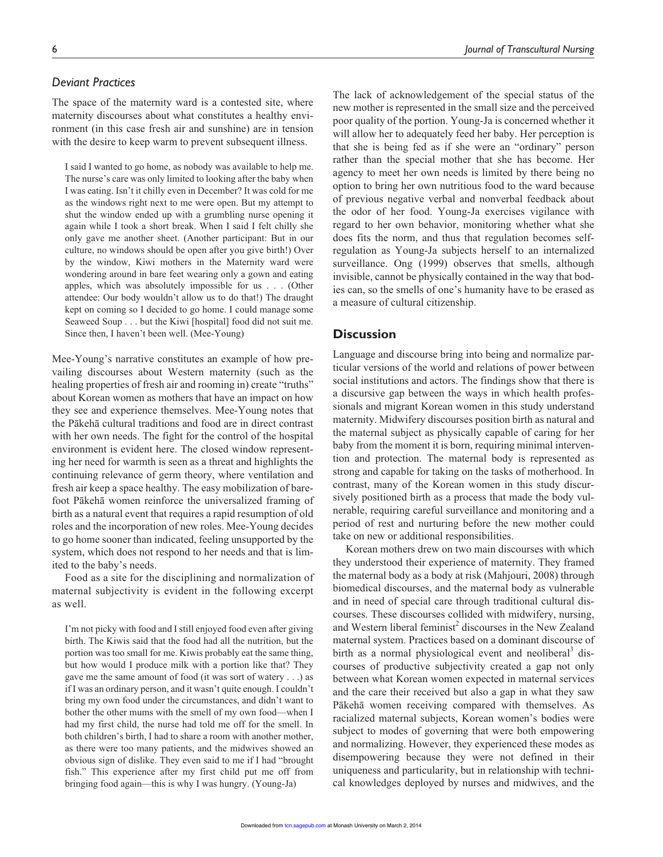# *Deviant Practices*

The space of the maternity ward is a contested site, where maternity discourses about what constitutes a healthy environment (in this case fresh air and sunshine) are in tension with the desire to keep warm to prevent subsequent illness.

I said I wanted to go home, as nobody was available to help me. The nurse's care was only limited to looking after the baby when I was eating. Isn't it chilly even in December? It was cold for me as the windows right next to me were open. But my attempt to shut the window ended up with a grumbling nurse opening it again while I took a short break. When I said I felt chilly she only gave me another sheet. (Another participant: But in our culture, no windows should be open after you give birth!) Over by the window, Kiwi mothers in the Maternity ward were wondering around in bare feet wearing only a gown and eating apples, which was absolutely impossible for us . . . (Other attendee: Our body wouldn't allow us to do that!) The draught kept on coming so I decided to go home. I could manage some Seaweed Soup . . . but the Kiwi [hospital] food did not suit me. Since then, I haven't been well. (Mee-Young)

Mee-Young's narrative constitutes an example of how prevailing discourses about Western maternity (such as the healing properties of fresh air and rooming in) create "truths" about Korean women as mothers that have an impact on how they see and experience themselves. Mee-Young notes that the Pākehā cultural traditions and food are in direct contrast with her own needs. The fight for the control of the hospital environment is evident here. The closed window representing her need for warmth is seen as a threat and highlights the continuing relevance of germ theory, where ventilation and fresh air keep a space healthy. The easy mobilization of barefoot Pākehā women reinforce the universalized framing of birth as a natural event that requires a rapid resumption of old roles and the incorporation of new roles. Mee-Young decides to go home sooner than indicated, feeling unsupported by the system, which does not respond to her needs and that is limited to the baby's needs.

Food as a site for the disciplining and normalization of maternal subjectivity is evident in the following excerpt as well.

I'm not picky with food and I still enjoyed food even after giving birth. The Kiwis said that the food had all the nutrition, but the portion was too small for me. Kiwis probably eat the same thing, but how would I produce milk with a portion like that? They gave me the same amount of food (it was sort of watery . . .) as if I was an ordinary person, and it wasn't quite enough. I couldn't bring my own food under the circumstances, and didn't want to bother the other mums with the smell of my own food—when I had my first child, the nurse had told me off for the smell. In both children's birth, I had to share a room with another mother, as there were too many patients, and the midwives showed an obvious sign of dislike. They even said to me if I had "brought fish." This experience after my first child put me off from bringing food again—this is why I was hungry. (Young-Ja)

The lack of acknowledgement of the special status of the new mother is represented in the small size and the perceived poor quality of the portion. Young-Ja is concerned whether it will allow her to adequately feed her baby. Her perception is that she is being fed as if she were an "ordinary" person rather than the special mother that she has become. Her agency to meet her own needs is limited by there being no option to bring her own nutritious food to the ward because of previous negative verbal and nonverbal feedback about the odor of her food. Young-Ja exercises vigilance with regard to her own behavior, monitoring whether what she does fits the norm, and thus that regulation becomes selfregulation as Young-Ja subjects herself to an internalized surveillance. Ong (1999) observes that smells, although invisible, cannot be physically contained in the way that bodies can, so the smells of one's humanity have to be erased as a measure of cultural citizenship.

# **Discussion**

Language and discourse bring into being and normalize particular versions of the world and relations of power between social institutions and actors. The findings show that there is a discursive gap between the ways in which health professionals and migrant Korean women in this study understand maternity. Midwifery discourses position birth as natural and the maternal subject as physically capable of caring for her baby from the moment it is born, requiring minimal intervention and protection. The maternal body is represented as strong and capable for taking on the tasks of motherhood. In contrast, many of the Korean women in this study discursively positioned birth as a process that made the body vulnerable, requiring careful surveillance and monitoring and a period of rest and nurturing before the new mother could take on new or additional responsibilities.

Korean mothers drew on two main discourses with which they understood their experience of maternity. They framed the maternal body as a body at risk (Mahjouri, 2008) through biomedical discourses, and the maternal body as vulnerable and in need of special care through traditional cultural discourses. These discourses collided with midwifery, nursing, and Western liberal feminist<sup>2</sup> discourses in the New Zealand maternal system. Practices based on a dominant discourse of birth as a normal physiological event and neoliberal<sup>3</sup> discourses of productive subjectivity created a gap not only between what Korean women expected in maternal services and the care their received but also a gap in what they saw Pākehā women receiving compared with themselves. As racialized maternal subjects, Korean women's bodies were subject to modes of governing that were both empowering and normalizing. However, they experienced these modes as disempowering because they were not defined in their uniqueness and particularity, but in relationship with technical kn[owledges d](http://tcn.sagepub.com/)eployed by nurses and midwives, and the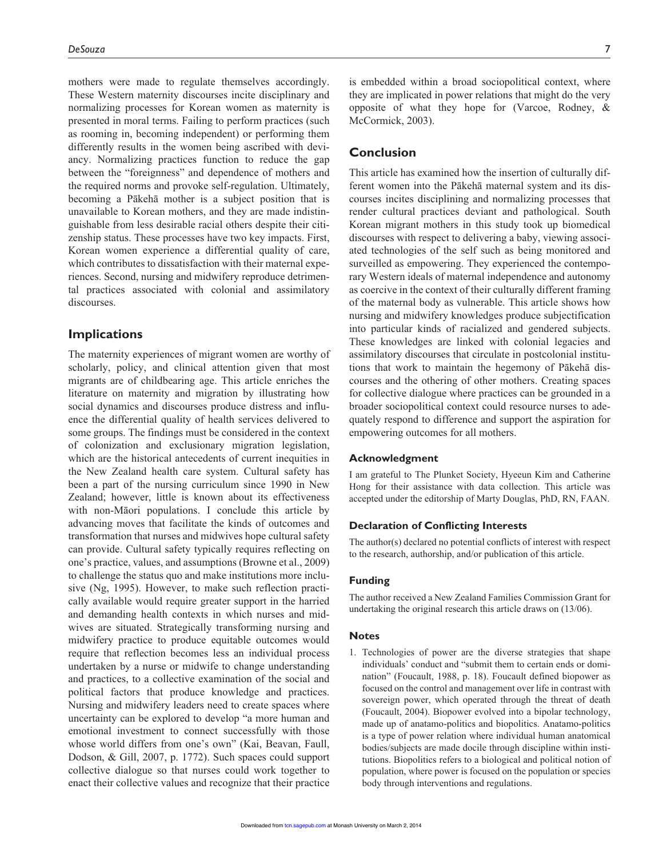mothers were made to regulate themselves accordingly. These Western maternity discourses incite disciplinary and normalizing processes for Korean women as maternity is presented in moral terms. Failing to perform practices (such as rooming in, becoming independent) or performing them differently results in the women being ascribed with deviancy. Normalizing practices function to reduce the gap between the "foreignness" and dependence of mothers and the required norms and provoke self-regulation. Ultimately, becoming a Pākehā mother is a subject position that is unavailable to Korean mothers, and they are made indistinguishable from less desirable racial others despite their citizenship status. These processes have two key impacts. First, Korean women experience a differential quality of care, which contributes to dissatisfaction with their maternal experiences. Second, nursing and midwifery reproduce detrimental practices associated with colonial and assimilatory discourses.

# **Implications**

The maternity experiences of migrant women are worthy of scholarly, policy, and clinical attention given that most migrants are of childbearing age. This article enriches the literature on maternity and migration by illustrating how social dynamics and discourses produce distress and influence the differential quality of health services delivered to some groups. The findings must be considered in the context of colonization and exclusionary migration legislation, which are the historical antecedents of current inequities in the New Zealand health care system. Cultural safety has been a part of the nursing curriculum since 1990 in New Zealand; however, little is known about its effectiveness with non-Māori populations. I conclude this article by advancing moves that facilitate the kinds of outcomes and transformation that nurses and midwives hope cultural safety can provide. Cultural safety typically requires reflecting on one's practice, values, and assumptions (Browne et al., 2009) to challenge the status quo and make institutions more inclusive (Ng, 1995). However, to make such reflection practically available would require greater support in the harried and demanding health contexts in which nurses and midwives are situated. Strategically transforming nursing and midwifery practice to produce equitable outcomes would require that reflection becomes less an individual process undertaken by a nurse or midwife to change understanding and practices, to a collective examination of the social and political factors that produce knowledge and practices. Nursing and midwifery leaders need to create spaces where uncertainty can be explored to develop "a more human and emotional investment to connect successfully with those whose world differs from one's own" (Kai, Beavan, Faull, Dodson, & Gill, 2007, p. 1772). Such spaces could support collective dialogue so that nurses could work together to enact their collective values and recognize that their practice is embedded within a broad sociopolitical context, where they are implicated in power relations that might do the very opposite of what they hope for (Varcoe, Rodney, & McCormick, 2003).

# **Conclusion**

This article has examined how the insertion of culturally different women into the Pākehā maternal system and its discourses incites disciplining and normalizing processes that render cultural practices deviant and pathological. South Korean migrant mothers in this study took up biomedical discourses with respect to delivering a baby, viewing associated technologies of the self such as being monitored and surveilled as empowering. They experienced the contemporary Western ideals of maternal independence and autonomy as coercive in the context of their culturally different framing of the maternal body as vulnerable. This article shows how nursing and midwifery knowledges produce subjectification into particular kinds of racialized and gendered subjects. These knowledges are linked with colonial legacies and assimilatory discourses that circulate in postcolonial institutions that work to maintain the hegemony of Pākehā discourses and the othering of other mothers. Creating spaces for collective dialogue where practices can be grounded in a broader sociopolitical context could resource nurses to adequately respond to difference and support the aspiration for empowering outcomes for all mothers.

#### **Acknowledgment**

I am grateful to The Plunket Society, Hyeeun Kim and Catherine Hong for their assistance with data collection. This article was accepted under the editorship of Marty Douglas, PhD, RN, FAAN.

#### **Declaration of Conflicting Interests**

The author(s) declared no potential conflicts of interest with respect to the research, authorship, and/or publication of this article.

# **Funding**

The author received a New Zealand Families Commission Grant for undertaking the original research this article draws on (13/06).

#### **Notes**

1. Technologies of power are the diverse strategies that shape individuals' conduct and "submit them to certain ends or domination" (Foucault, 1988, p. 18). Foucault defined biopower as focused on the control and management over life in contrast with sovereign power, which operated through the threat of death (Foucault, 2004). Biopower evolved into a bipolar technology, made up of anatamo-politics and biopolitics. Anatamo-politics is a type of power relation where individual human anatomical bodies/subjects are made docile through discipline within institutions. Biopolitics refers to a biological and political notion of population, where power is focused on the population or species [body throug](http://tcn.sagepub.com/)h interventions and regulations.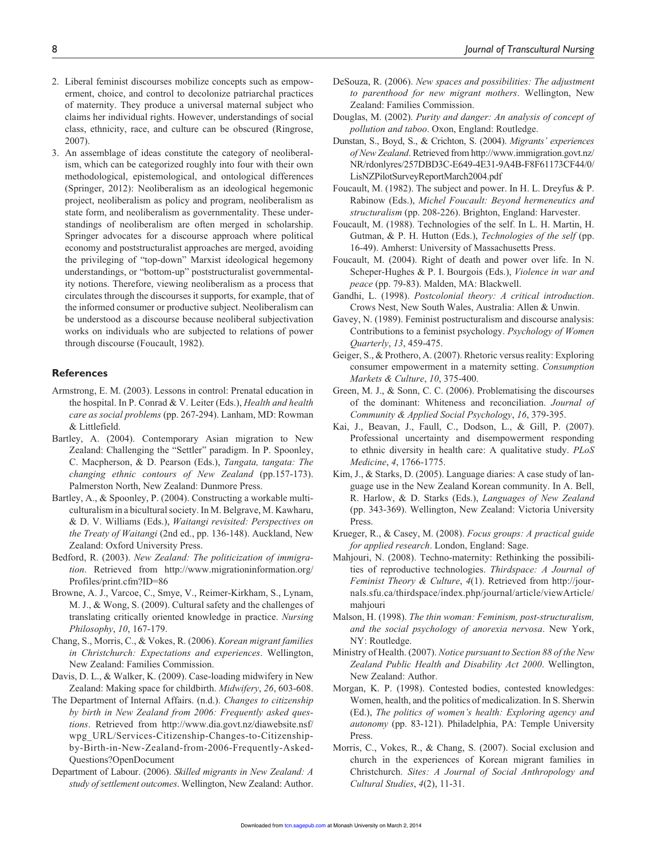- 2. Liberal feminist discourses mobilize concepts such as empowerment, choice, and control to decolonize patriarchal practices of maternity. They produce a universal maternal subject who claims her individual rights. However, understandings of social class, ethnicity, race, and culture can be obscured (Ringrose, 2007).
- 3. An assemblage of ideas constitute the category of neoliberalism, which can be categorized roughly into four with their own methodological, epistemological, and ontological differences (Springer, 2012): Neoliberalism as an ideological hegemonic project, neoliberalism as policy and program, neoliberalism as state form, and neoliberalism as governmentality. These understandings of neoliberalism are often merged in scholarship. Springer advocates for a discourse approach where political economy and poststructuralist approaches are merged, avoiding the privileging of "top-down" Marxist ideological hegemony understandings, or "bottom-up" poststructuralist governmentality notions. Therefore, viewing neoliberalism as a process that circulates through the discourses it supports, for example, that of the informed consumer or productive subject. Neoliberalism can be understood as a discourse because neoliberal subjectivation works on individuals who are subjected to relations of power through discourse (Foucault, 1982).

#### **References**

- Armstrong, E. M. (2003). Lessons in control: Prenatal education in the hospital. In P. Conrad & V. Leiter (Eds.), *Health and health care as social problems* (pp. 267-294). Lanham, MD: Rowman & Littlefield.
- Bartley, A. (2004). Contemporary Asian migration to New Zealand: Challenging the "Settler" paradigm. In P. Spoonley, C. Macpherson, & D. Pearson (Eds.), *Tangata, tangata: The changing ethnic contours of New Zealand* (pp.157-173). Palmerston North, New Zealand: Dunmore Press.
- Bartley, A., & Spoonley, P. (2004). Constructing a workable multiculturalism in a bicultural society. In M. Belgrave, M. Kawharu, & D. V. Williams (Eds.), *Waitangi revisited: Perspectives on the Treaty of Waitangi* (2nd ed., pp. 136-148). Auckland, New Zealand: Oxford University Press.
- Bedford, R. (2003). *New Zealand: The politicization of immigration*. Retrieved from http://www.migrationinformation.org/ Profiles/print.cfm?ID=86
- Browne, A. J., Varcoe, C., Smye, V., Reimer-Kirkham, S., Lynam, M. J., & Wong, S. (2009). Cultural safety and the challenges of translating critically oriented knowledge in practice. *Nursing Philosophy*, *10*, 167-179.
- Chang, S., Morris, C., & Vokes, R. (2006). *Korean migrant families in Christchurch: Expectations and experiences*. Wellington, New Zealand: Families Commission.
- Davis, D. L., & Walker, K. (2009). Case-loading midwifery in New Zealand: Making space for childbirth. *Midwifery*, *26*, 603-608.
- The Department of Internal Affairs. (n.d.). *Changes to citizenship by birth in New Zealand from 2006: Frequently asked questions*. Retrieved from http://www.dia.govt.nz/diawebsite.nsf/ wpg\_URL/Services-Citizenship-Changes-to-Citizenshipby-Birth-in-New-Zealand-from-2006-Frequently-Asked-Questions?OpenDocument
- Department of Labour. (2006). *Skilled migrants in New Zealand: A study of settlement outcomes*. Wellington, New Zealand: Author.
- DeSouza, R. (2006). *New spaces and possibilities: The adjustment to parenthood for new migrant mothers*. Wellington, New Zealand: Families Commission.
- Douglas, M. (2002). *Purity and danger: An analysis of concept of pollution and taboo*. Oxon, England: Routledge.
- Dunstan, S., Boyd, S., & Crichton, S. (2004). *Migrants' experiences of New Zealand*. Retrieved from http://www.immigration.govt.nz/ NR/rdonlyres/257DBD3C-E649-4E31-9A4B-F8F61173CF44/0/ LisNZPilotSurveyReportMarch2004.pdf
- Foucault, M. (1982). The subject and power. In H. L. Dreyfus & P. Rabinow (Eds.), *Michel Foucault: Beyond hermeneutics and structuralism* (pp. 208-226). Brighton, England: Harvester.
- Foucault, M. (1988). Technologies of the self. In L. H. Martin, H. Gutman, & P. H. Hutton (Eds.), *Technologies of the self* (pp. 16-49). Amherst: University of Massachusetts Press.
- Foucault, M. (2004). Right of death and power over life. In N. Scheper-Hughes & P. I. Bourgois (Eds.), *Violence in war and peace* (pp. 79-83). Malden, MA: Blackwell.
- Gandhi, L. (1998). *Postcolonial theory: A critical introduction*. Crows Nest, New South Wales, Australia: Allen & Unwin.
- Gavey, N. (1989). Feminist postructuralism and discourse analysis: Contributions to a feminist psychology. *Psychology of Women Quarterly*, *13*, 459-475.
- Geiger, S., & Prothero, A. (2007). Rhetoric versus reality: Exploring consumer empowerment in a maternity setting. *Consumption Markets & Culture*, *10*, 375-400.
- Green, M. J., & Sonn, C. C. (2006). Problematising the discourses of the dominant: Whiteness and reconciliation. *Journal of Community & Applied Social Psychology*, *16*, 379-395.
- Kai, J., Beavan, J., Faull, C., Dodson, L., & Gill, P. (2007). Professional uncertainty and disempowerment responding to ethnic diversity in health care: A qualitative study. *PLoS Medicine*, *4*, 1766-1775.
- Kim, J., & Starks, D. (2005). Language diaries: A case study of language use in the New Zealand Korean community. In A. Bell, R. Harlow, & D. Starks (Eds.), *Languages of New Zealand* (pp. 343-369). Wellington, New Zealand: Victoria University Press.
- Krueger, R., & Casey, M. (2008). *Focus groups: A practical guide for applied research*. London, England: Sage.
- Mahjouri, N. (2008). Techno-maternity: Rethinking the possibilities of reproductive technologies. *Thirdspace: A Journal of Feminist Theory & Culture*, *4*(1). Retrieved from http://journals.sfu.ca/thirdspace/index.php/journal/article/viewArticle/ mahjouri
- Malson, H. (1998). *The thin woman: Feminism, post-structuralism, and the social psychology of anorexia nervosa*. New York, NY: Routledge.
- Ministry of Health. (2007). *Notice pursuant to Section 88 of the New Zealand Public Health and Disability Act 2000*. Wellington, New Zealand: Author.
- Morgan, K. P. (1998). Contested bodies, contested knowledges: Women, health, and the politics of medicalization. In S. Sherwin (Ed.), *The politics of women's health: Exploring agency and autonomy* (pp. 83-121). Philadelphia, PA: Temple University Press.
- Morris, C., Vokes, R., & Chang, S. (2007). Social exclusion and church in the experiences of Korean migrant families in Christchurch. *Sites: A Journal of Social Anthropology and C[ultural Studie](http://tcn.sagepub.com/)s*, *4*(2), 11-31.